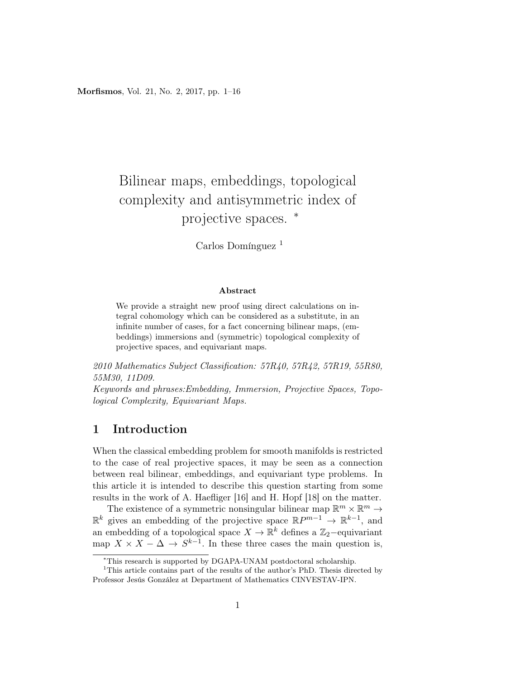Morfismos, Vol. 21, No. 2, 2017, pp. 1–16

# Bilinear maps, embeddings, topological complexity and antisymmetric index of projective spaces.  $*$

Carlos Domínguez<sup>1</sup>

#### Abstract

We provide a straight new proof using direct calculations on integral cohomology which can be considered as a substitute, in an infinite number of cases, for a fact concerning bilinear maps, (embeddings) immersions and (symmetric) topological complexity of projective spaces, and equivariant maps.

2010 Mathematics Subject Classification: 57R40, 57R42, 57R19, 55R80, 55M30, 11D09.

Keywords and phrases:Embedding, Immersion, Projective Spaces, Topological Complexity, Equivariant Maps.

### 1 Introduction

When the classical embedding problem for smooth manifolds is restricted to the case of real projective spaces, it may be seen as a connection between real bilinear, embeddings, and equivariant type problems. In this article it is intended to describe this question starting from some results in the work of A. Haefliger [16] and H. Hopf [18] on the matter.

The existence of a symmetric nonsingular bilinear map  $\mathbb{R}^m \times \mathbb{R}^m \to$  $\mathbb{R}^k$  gives an embedding of the projective space  $\mathbb{R}P^{m-1} \to \mathbb{R}^{k-1}$ , and an embedding of a topological space  $X \to \mathbb{R}^k$  defines a  $\mathbb{Z}_2$ -equivariant map  $X \times X - \Delta \rightarrow S^{k-1}$ . In these three cases the main question is,

<sup>∗</sup>This research is supported by DGAPA-UNAM postdoctoral scholarship.

<sup>&</sup>lt;sup>1</sup>This article contains part of the results of the author's PhD. Thesis directed by Professor Jesús González at Department of Mathematics CINVESTAV-IPN.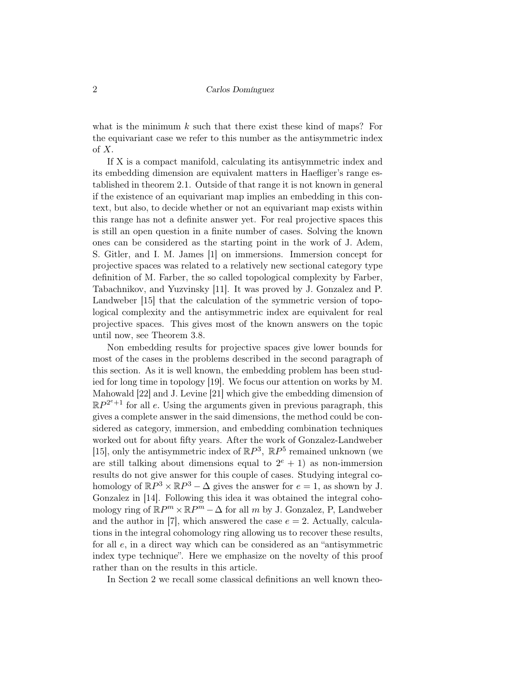what is the minimum  $k$  such that there exist these kind of maps? For the equivariant case we refer to this number as the antisymmetric index of X.

If X is a compact manifold, calculating its antisymmetric index and its embedding dimension are equivalent matters in Haefliger's range established in theorem 2.1. Outside of that range it is not known in general if the existence of an equivariant map implies an embedding in this context, but also, to decide whether or not an equivariant map exists within this range has not a definite answer yet. For real projective spaces this is still an open question in a finite number of cases. Solving the known ones can be considered as the starting point in the work of J. Adem, S. Gitler, and I. M. James [1] on immersions. Immersion concept for projective spaces was related to a relatively new sectional category type definition of M. Farber, the so called topological complexity by Farber, Tabachnikov, and Yuzvinsky [11]. It was proved by J. Gonzalez and P. Landweber [15] that the calculation of the symmetric version of topological complexity and the antisymmetric index are equivalent for real projective spaces. This gives most of the known answers on the topic until now, see Theorem 3.8.

Non embedding results for projective spaces give lower bounds for most of the cases in the problems described in the second paragraph of this section. As it is well known, the embedding problem has been studied for long time in topology [19]. We focus our attention on works by M. Mahowald [22] and J. Levine [21] which give the embedding dimension of  $\mathbb{R}P^{2^e+1}$  for all e. Using the arguments given in previous paragraph, this gives a complete answer in the said dimensions, the method could be considered as category, immersion, and embedding combination techniques worked out for about fifty years. After the work of Gonzalez-Landweber [15], only the antisymmetric index of  $\mathbb{R}P^3$ ,  $\mathbb{R}P^5$  remained unknown (we are still talking about dimensions equal to  $2^e + 1$  as non-immersion results do not give answer for this couple of cases. Studying integral cohomology of  $\mathbb{R}P^3 \times \mathbb{R}P^3 - \Delta$  gives the answer for  $e = 1$ , as shown by J. Gonzalez in [14]. Following this idea it was obtained the integral cohomology ring of  $\mathbb{R}P^m \times \mathbb{R}P^m - \Delta$  for all m by J. Gonzalez, P, Landweber and the author in [7], which answered the case  $e = 2$ . Actually, calculations in the integral cohomology ring allowing us to recover these results, for all e, in a direct way which can be considered as an "antisymmetric index type technique". Here we emphasize on the novelty of this proof rather than on the results in this article.

In Section 2 we recall some classical definitions an well known theo-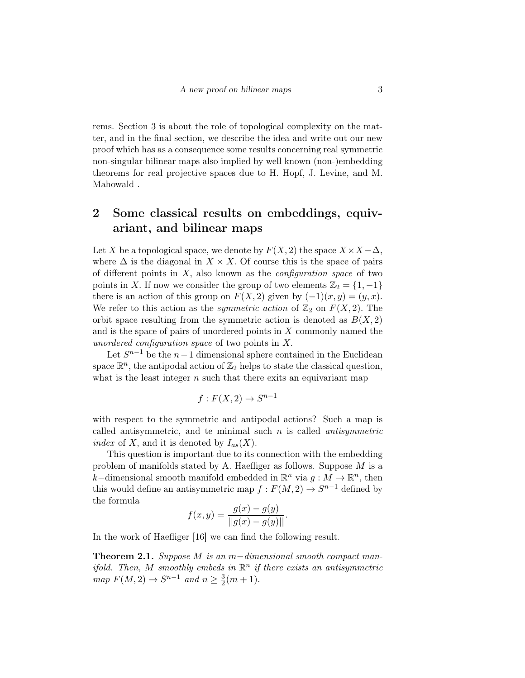rems. Section 3 is about the role of topological complexity on the matter, and in the final section, we describe the idea and write out our new proof which has as a consequence some results concerning real symmetric non-singular bilinear maps also implied by well known (non-)embedding theorems for real projective spaces due to H. Hopf, J. Levine, and M. Mahowald .

### 2 Some classical results on embeddings, equivariant, and bilinear maps

Let X be a topological space, we denote by  $F(X, 2)$  the space  $X \times X - \Delta$ , where  $\Delta$  is the diagonal in  $X \times X$ . Of course this is the space of pairs of different points in  $X$ , also known as the *configuration space* of two points in X. If now we consider the group of two elements  $\mathbb{Z}_2 = \{1, -1\}$ there is an action of this group on  $F(X, 2)$  given by  $(-1)(x, y) = (y, x)$ . We refer to this action as the *symmetric action* of  $\mathbb{Z}_2$  on  $F(X, 2)$ . The orbit space resulting from the symmetric action is denoted as  $B(X, 2)$ and is the space of pairs of unordered points in X commonly named the unordered configuration space of two points in X.

Let  $S^{n-1}$  be the  $n-1$  dimensional sphere contained in the Euclidean space  $\mathbb{R}^n$ , the antipodal action of  $\mathbb{Z}_2$  helps to state the classical question, what is the least integer  $n$  such that there exits an equivariant map

$$
f: F(X, 2) \to S^{n-1}
$$

with respect to the symmetric and antipodal actions? Such a map is called antisymmetric, and te minimal such  $n$  is called *antisymmetric* index of X, and it is denoted by  $I_{as}(X)$ .

This question is important due to its connection with the embedding problem of manifolds stated by A. Haefliger as follows. Suppose  $M$  is a k–dimensional smooth manifold embedded in  $\mathbb{R}^n$  via  $g : M \to \mathbb{R}^n$ , then this would define an antisymmetric map  $f: F(M, 2) \to S^{n-1}$  defined by the formula

$$
f(x,y) = \frac{g(x) - g(y)}{||g(x) - g(y)||}.
$$

In the work of Haefliger [16] we can find the following result.

**Theorem 2.1.** Suppose M is an m-dimensional smooth compact manifold. Then, M smoothly embeds in  $\mathbb{R}^n$  if there exists an antisymmetric  $map F(M, 2) \rightarrow S^{n-1}$  and  $n \geq \frac{3}{2}$  $\frac{3}{2}(m+1).$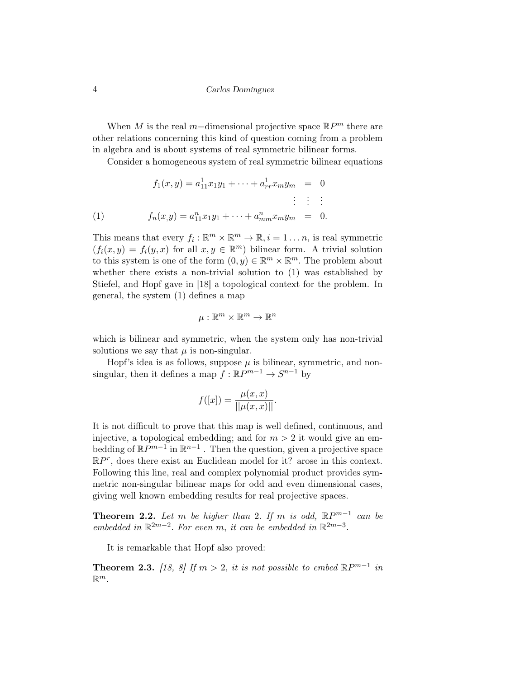When M is the real m−dimensional projective space  $\mathbb{R}P^m$  there are other relations concerning this kind of question coming from a problem in algebra and is about systems of real symmetric bilinear forms.

Consider a homogeneous system of real symmetric bilinear equations

(1)  
\n
$$
f_1(x,y) = a_{11}^1 x_1 y_1 + \dots + a_{rr}^1 x_m y_m = 0
$$
\n
$$
\vdots \qquad \vdots
$$
\n
$$
f_n(x,y) = a_{11}^n x_1 y_1 + \dots + a_{mm}^n x_m y_m = 0.
$$

This means that every  $f_i: \mathbb{R}^m \times \mathbb{R}^m \to \mathbb{R}, i = 1 \dots n$ , is real symmetric  $(f_i(x,y) = f_i(y,x)$  for all  $x, y \in \mathbb{R}^m$ ) bilinear form. A trivial solution to this system is one of the form  $(0, y) \in \mathbb{R}^m \times \mathbb{R}^m$ . The problem about whether there exists a non-trivial solution to (1) was established by Stiefel, and Hopf gave in [18] a topological context for the problem. In general, the system (1) defines a map

$$
\mu:\mathbb{R}^m\times\mathbb{R}^m\to\mathbb{R}^n
$$

which is bilinear and symmetric, when the system only has non-trivial solutions we say that  $\mu$  is non-singular.

Hopf's idea is as follows, suppose  $\mu$  is bilinear, symmetric, and nonsingular, then it defines a map  $f : \mathbb{R}P^{m-1} \to S^{n-1}$  by

$$
f([x]) = \frac{\mu(x, x)}{||\mu(x, x)||}.
$$

It is not difficult to prove that this map is well defined, continuous, and injective, a topological embedding; and for  $m > 2$  it would give an embedding of  $\mathbb{R}P^{m-1}$  in  $\mathbb{R}^{n-1}$ . Then the question, given a projective space  $\mathbb{R}P^r$ , does there exist an Euclidean model for it? arose in this context. Following this line, real and complex polynomial product provides symmetric non-singular bilinear maps for odd and even dimensional cases, giving well known embedding results for real projective spaces.

**Theorem 2.2.** Let m be higher than 2. If m is odd,  $\mathbb{R}P^{m-1}$  can be embedded in  $\mathbb{R}^{2m-2}$ . For even m, it can be embedded in  $\mathbb{R}^{2m-3}$ .

It is remarkable that Hopf also proved:

**Theorem 2.3.** [18, 8] If  $m > 2$ , it is not possible to embed  $\mathbb{R}P^{m-1}$  in  $\mathbb{R}^m$ .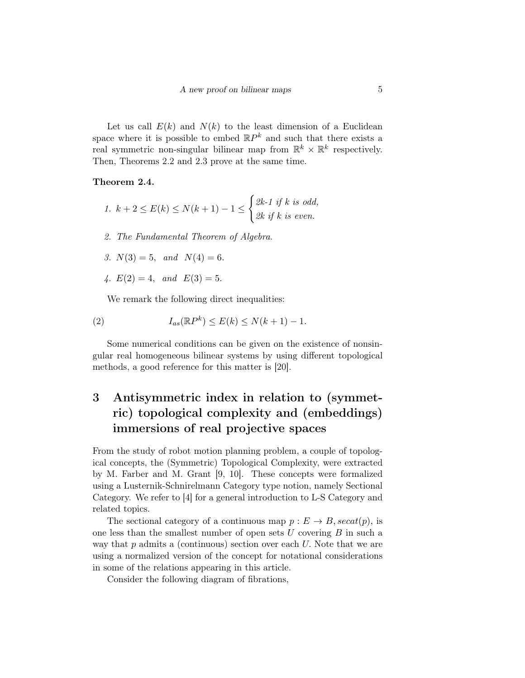Let us call  $E(k)$  and  $N(k)$  to the least dimension of a Euclidean space where it is possible to embed  $\mathbb{R}P^k$  and such that there exists a real symmetric non-singular bilinear map from  $\mathbb{R}^k \times \mathbb{R}^k$  respectively. Then, Theorems 2.2 and 2.3 prove at the same time.

#### Theorem 2.4.

$$
1. \ k+2 \le E(k) \le N(k+1) - 1 \le \begin{cases} 2k-1 \text{ if } k \text{ is odd,} \\ 2k \text{ if } k \text{ is even.} \end{cases}
$$

2. The Fundamental Theorem of Algebra.

3. 
$$
N(3) = 5
$$
, and  $N(4) = 6$ .

4.  $E(2) = 4$ , and  $E(3) = 5$ .

We remark the following direct inequalities:

(2) 
$$
I_{as}(\mathbb{R}P^k) \leq E(k) \leq N(k+1)-1.
$$

Some numerical conditions can be given on the existence of nonsingular real homogeneous bilinear systems by using different topological methods, a good reference for this matter is [20].

# 3 Antisymmetric index in relation to (symmetric) topological complexity and (embeddings) immersions of real projective spaces

From the study of robot motion planning problem, a couple of topological concepts, the (Symmetric) Topological Complexity, were extracted by M. Farber and M. Grant [9, 10]. These concepts were formalized using a Lusternik-Schnirelmann Category type notion, namely Sectional Category. We refer to [4] for a general introduction to L-S Category and related topics.

The sectional category of a continuous map  $p : E \to B$ ,  $\operatorname{secat}(p)$ , is one less than the smallest number of open sets  $U$  covering  $B$  in such a way that  $p$  admits a (continuous) section over each  $U$ . Note that we are using a normalized version of the concept for notational considerations in some of the relations appearing in this article.

Consider the following diagram of fibrations,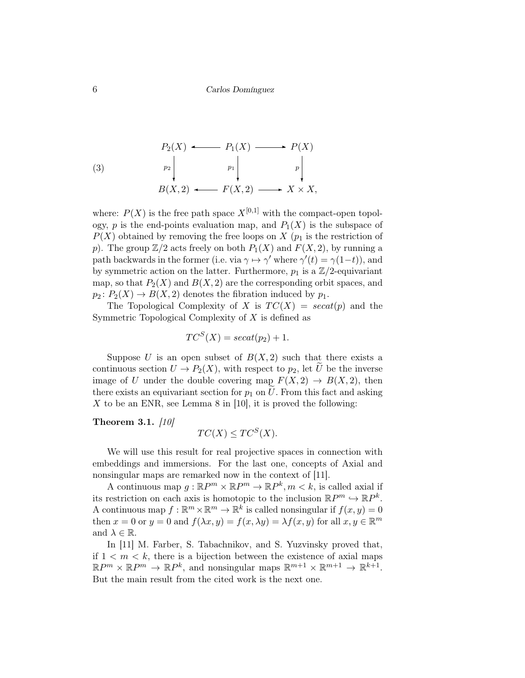(3)  
\n
$$
P_2(X) \longleftarrow P_1(X) \longrightarrow P(X)
$$
\n
$$
P_2 \downarrow \qquad p_1 \downarrow \qquad p \downarrow \qquad p \downarrow
$$
\n
$$
B(X, 2) \longleftarrow F(X, 2) \longrightarrow X \times X,
$$

where:  $P(X)$  is the free path space  $X^{[0,1]}$  with the compact-open topology, p is the end-points evaluation map, and  $P_1(X)$  is the subspace of  $P(X)$  obtained by removing the free loops on X ( $p_1$  is the restriction of p). The group  $\mathbb{Z}/2$  acts freely on both  $P_1(X)$  and  $F(X, 2)$ , by running a path backwards in the former (i.e. via  $\gamma \mapsto \gamma'$  where  $\gamma'(t) = \gamma(1-t)$ ), and by symmetric action on the latter. Furthermore,  $p_1$  is a  $\mathbb{Z}/2$ -equivariant map, so that  $P_2(X)$  and  $B(X, 2)$  are the corresponding orbit spaces, and  $p_2: P_2(X) \to B(X, 2)$  denotes the fibration induced by  $p_1$ .

The Topological Complexity of X is  $TC(X) = secat(p)$  and the Symmetric Topological Complexity of  $X$  is defined as

$$
TC^S(X) = secat(p_2) + 1.
$$

Suppose U is an open subset of  $B(X, 2)$  such that there exists a continuous section  $U \to P_2(X)$ , with respect to  $p_2$ , let U be the inverse image of U under the double covering map  $F(X, 2) \rightarrow B(X, 2)$ , then there exists an equivariant section for  $p_1$  on U. From this fact and asking X to be an ENR, see Lemma 8 in [10], it is proved the following:

Theorem 3.1.  $\left[10\right]$ 

$$
TC(X) \le TC^S(X).
$$

We will use this result for real projective spaces in connection with embeddings and immersions. For the last one, concepts of Axial and nonsingular maps are remarked now in the context of [11].

A continuous map  $g: \mathbb{R}P^m \times \mathbb{R}P^m \to \mathbb{R}P^k, m \lt k$ , is called axial if its restriction on each axis is homotopic to the inclusion  $\mathbb{R}P^m \hookrightarrow \mathbb{R}P^k$ . A continuous map  $f: \mathbb{R}^m \times \mathbb{R}^m \to \mathbb{R}^k$  is called nonsingular if  $f(x, y) = 0$ then  $x = 0$  or  $y = 0$  and  $f(\lambda x, y) = f(x, \lambda y) = \lambda f(x, y)$  for all  $x, y \in \mathbb{R}^m$ and  $\lambda \in \mathbb{R}$ .

In [11] M. Farber, S. Tabachnikov, and S. Yuzvinsky proved that, if  $1 \leq m \leq k$ , there is a bijection between the existence of axial maps  $\mathbb{R}P^m \times \mathbb{R}P^m \to \mathbb{R}P^k$ , and nonsingular maps  $\mathbb{R}^{m+1} \times \mathbb{R}^{m+1} \to \mathbb{R}^{k+1}$ . But the main result from the cited work is the next one.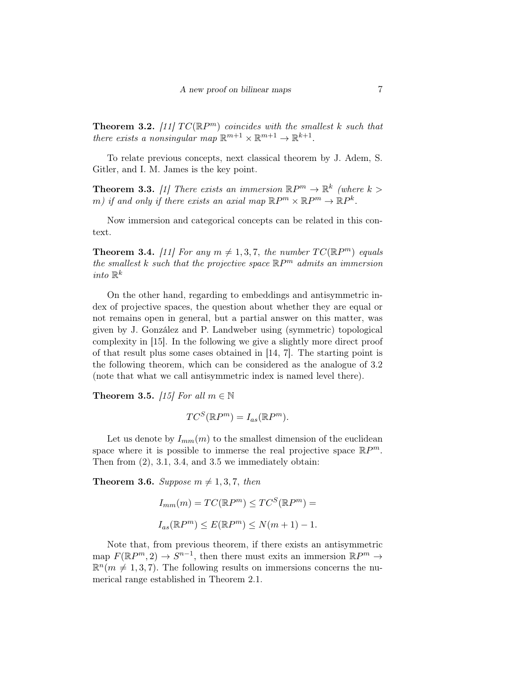**Theorem 3.2.** [11]  $TC(\mathbb{R}P^m)$  coincides with the smallest k such that there exists a nonsingular map  $\mathbb{R}^{m+1} \times \mathbb{R}^{m+1} \to \mathbb{R}^{k+1}$ .

To relate previous concepts, next classical theorem by J. Adem, S. Gitler, and I. M. James is the key point.

**Theorem 3.3.** [1] There exists an immersion  $\mathbb{R}P^m \to \mathbb{R}^k$  (where  $k >$ m) if and only if there exists an axial map  $\mathbb{R}P^m \times \mathbb{R}P^m \to \mathbb{R}P^k$ .

Now immersion and categorical concepts can be related in this context.

**Theorem 3.4.** [11] For any  $m \neq 1, 3, 7$ , the number  $TC(\mathbb{R}P^m)$  equals the smallest k such that the projective space  $\mathbb{R}P^m$  admits an immersion into  $\mathbb{R}^k$ 

On the other hand, regarding to embeddings and antisymmetric index of projective spaces, the question about whether they are equal or not remains open in general, but a partial answer on this matter, was given by J. González and P. Landweber using (symmetric) topological complexity in [15]. In the following we give a slightly more direct proof of that result plus some cases obtained in [14, 7]. The starting point is the following theorem, which can be considered as the analogue of 3.2 (note that what we call antisymmetric index is named level there).

Theorem 3.5. [15] For all  $m \in \mathbb{N}$ 

$$
TC^S(\mathbb{R}P^m) = I_{as}(\mathbb{R}P^m).
$$

Let us denote by  $I_{mm}(m)$  to the smallest dimension of the euclidean space where it is possible to immerse the real projective space  $\mathbb{R}P^m$ . Then from  $(2)$ , 3.1, 3.4, and 3.5 we immediately obtain:

**Theorem 3.6.** Suppose  $m \neq 1, 3, 7$ , then

$$
I_{mm}(m) = TC(\mathbb{R}P^m) \le TC^S(\mathbb{R}P^m) =
$$
  

$$
I_{as}(\mathbb{R}P^m) \le E(\mathbb{R}P^m) \le N(m+1) - 1.
$$

Note that, from previous theorem, if there exists an antisymmetric map  $F(\mathbb{R}P^m,2) \to S^{n-1}$ , then there must exits an immersion  $\mathbb{R}P^m \to$  $\mathbb{R}^n(m \neq 1, 3, 7)$ . The following results on immersions concerns the numerical range established in Theorem 2.1.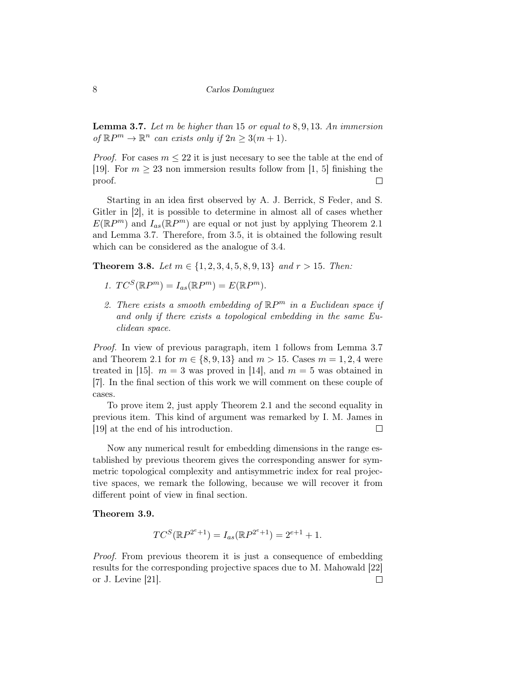**Lemma 3.7.** Let m be higher than 15 or equal to  $8, 9, 13$ . An immersion of  $\mathbb{R}P^m \to \mathbb{R}^n$  can exists only if  $2n \geq 3(m+1)$ .

*Proof.* For cases  $m \leq 22$  it is just necesary to see the table at the end of [19]. For  $m \geq 23$  non immersion results follow from [1, 5] finishing the proof.  $\Box$ 

Starting in an idea first observed by A. J. Berrick, S Feder, and S. Gitler in [2], it is possible to determine in almost all of cases whether  $E(\mathbb{R}P^m)$  and  $I_{as}(\mathbb{R}P^m)$  are equal or not just by applying Theorem 2.1 and Lemma 3.7. Therefore, from 3.5, it is obtained the following result which can be considered as the analogue of 3.4.

Theorem 3.8. Let  $m \in \{1, 2, 3, 4, 5, 8, 9, 13\}$  and  $r > 15$ . Then:

- 1.  $TC^S(\mathbb{R}P^m) = I_{as}(\mathbb{R}P^m) = E(\mathbb{R}P^m)$ .
- 2. There exists a smooth embedding of  $\mathbb{R}P^m$  in a Euclidean space if and only if there exists a topological embedding in the same Euclidean space.

Proof. In view of previous paragraph, item 1 follows from Lemma 3.7 and Theorem 2.1 for  $m \in \{8, 9, 13\}$  and  $m > 15$ . Cases  $m = 1, 2, 4$  were treated in [15].  $m = 3$  was proved in [14], and  $m = 5$  was obtained in [7]. In the final section of this work we will comment on these couple of cases.

To prove item 2, just apply Theorem 2.1 and the second equality in previous item. This kind of argument was remarked by I. M. James in [19] at the end of his introduction.  $\Box$ 

Now any numerical result for embedding dimensions in the range established by previous theorem gives the corresponding answer for symmetric topological complexity and antisymmetric index for real projective spaces, we remark the following, because we will recover it from different point of view in final section.

#### Theorem 3.9.

$$
TC^{S}(\mathbb{R}P^{2^{e}+1}) = I_{as}(\mathbb{R}P^{2^{e}+1}) = 2^{e+1} + 1.
$$

Proof. From previous theorem it is just a consequence of embedding results for the corresponding projective spaces due to M. Mahowald [22] or J. Levine [21]. $\Box$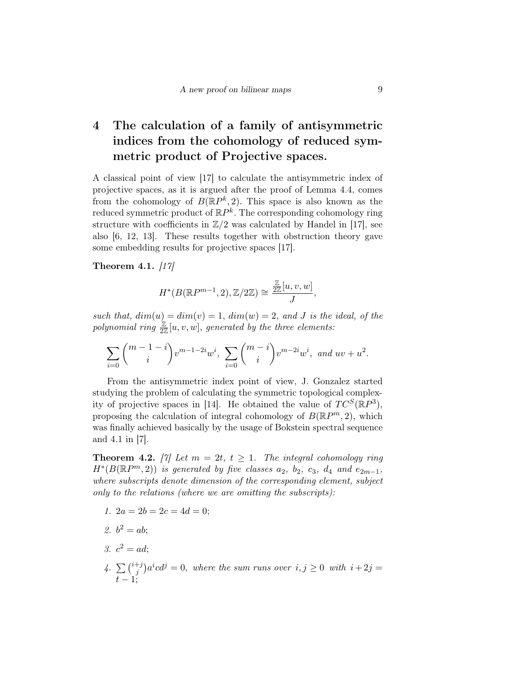# 4 The calculation of a family of antisymmetric indices from the cohomology of reduced symmetric product of Projective spaces.

A classical point of view [17] to calculate the antisymmetric index of projective spaces, as it is argued after the proof of Lemma 4.4, comes from the cohomology of  $B(\mathbb{R}P^k, 2)$ . This space is also known as the reduced symmetric product of  $\mathbb{R}P^k$ . The corresponding cohomology ring structure with coefficients in  $\mathbb{Z}/2$  was calculated by Handel in [17], see also [6, 12, 13]. These results together with obstruction theory gave some embedding results for projective spaces [17].

Theorem 4.1.  $\left|17\right|$ 

$$
H^*(B(\mathbb{R}P^{m-1},2),\mathbb{Z}/2\mathbb{Z})\cong \frac{\mathbb{Z}}{2\mathbb{Z}}[u,v,w],
$$

such that,  $dim(u) = dim(v) = 1$ ,  $dim(w) = 2$ , and J is the ideal, of the polynomial ring  $\frac{\mathbb{Z}}{2\mathbb{Z}}[u,v,w]$ , generated by the three elements:

$$
\sum_{i=0} {m-1-i \choose i} v^{m-1-2i} w^i, \sum_{i=0} {m-i \choose i} v^{m-2i} w^i, \text{ and } uv + u^2.
$$

From the antisymmetric index point of view, J. Gonzalez started studying the problem of calculating the symmetric topological complexity of projective spaces in [14]. He obtained the value of  $TC^{S}(\mathbb{R}P^{3}),$ proposing the calculation of integral cohomology of  $B(\mathbb{R}P^m, 2)$ , which was finally achieved basically by the usage of Bokstein spectral sequence and 4.1 in [7].

**Theorem 4.2.** [7] Let  $m = 2t$ ,  $t \ge 1$ . The integral cohomology ring  $H^*(B(\mathbb{R}P^m,2))$  is generated by five classes  $a_2$ ,  $b_2$ ,  $c_3$ ,  $d_4$  and  $e_{2m-1}$ , where subscripts denote dimension of the corresponding element, subject only to the relations (where we are omitting the subscripts):

- 1.  $2a = 2b = 2c = 4d = 0$ ;
- 2.  $b^2 = ab;$
- 3.  $c^2 = ad;$
- 4.  $\sum_{i}^{i+j}$  $j^{+j}$ ) $a^i c d^j = 0$ , where the sum runs over  $i, j \geq 0$  with  $i + 2j = j$  $t-1;$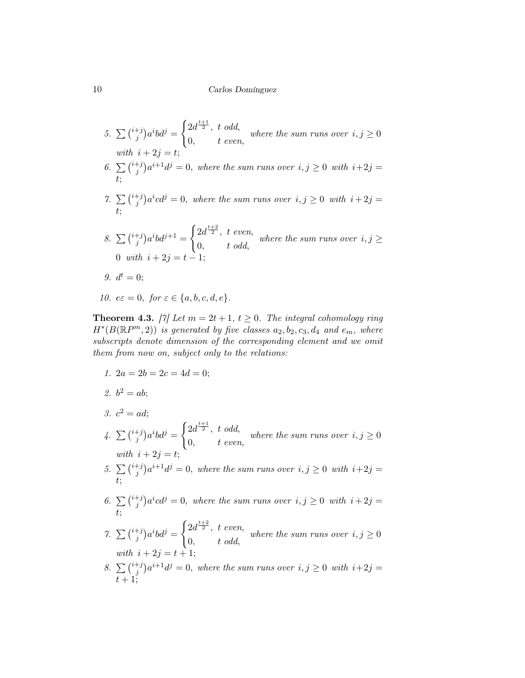- 5.  $\sum_{i=1}^{i+j}$  $j^{+j}$ ) $a^i b d^j =$  $\int 2d^{\frac{t+1}{2}}, t \text{ odd},$  $0,$   $t$  even, where the sum runs over  $i, j \geq 0$ with  $i + 2i =$ 6.  $\sum_{i=1}^{i+j}$  $j^{+j}$ ) $a^{i+1}d^j = 0$ , where the sum runs over  $i, j \ge 0$  with  $i+2j = j$ t; 7.  $\sum_{i=1}^{i+j}$  $j^{+j}$ ) $a^i c d^j = 0$ , where the sum runs over  $i, j \ge 0$  with  $i + 2j = j$ t; 8.  $\sum_{i=1}^{i+j}$  $j^{+j}$ ) $a^{i}bd^{j+1} =$  $\int 2d^{\frac{t+2}{2}}, \ t \ even,$  $0, \qquad t \text{ odd},$ where the sum runs over  $i, j \geq$ 0 with  $i + 2j = t - 1$ 9.  $d^t = 0;$
- 10.  $e\epsilon = 0$ , for  $\epsilon \in \{a, b, c, d, e\}.$

**Theorem 4.3.** [7] Let  $m = 2t + 1$ ,  $t \ge 0$ . The integral cohomology ring  $H^*(B(\mathbb{R}P^m,2))$  is generated by five classes  $a_2, b_2, c_3, d_4$  and  $e_m$ , where subscripts denote dimension of the corresponding element and we omit them from now on, subject only to the relations:

- 1.  $2a = 2b = 2c = 4d = 0$ ;
- 2.  $b^2 = ab;$
- 3.  $c^2 = ad;$
- 4.  $\sum_{i}^{i+j}$  $j^{+j}$ ) $a^i b d^j =$  $\int 2d^{\frac{t+1}{2}}, t \text{ odd},$  $0,$   $t$  even, where the sum runs over  $i, j \geq 0$ with  $i + 2j = t;$
- 5.  $\sum_{i=1}^{i+j}$  $j^{+j}$ ) $a^{i+1}d^{j} = 0$ , where the sum runs over  $i, j \ge 0$  with  $i+2j = j$ t;
- 6.  $\sum_{i=1}^{i+j}$  $j^{+j}$ ) $a^i c d^j = 0$ , where the sum runs over  $i, j \ge 0$  with  $i + 2j = j$ t;
- 7.  $\sum_{i=1}^{i+j}$  $j^{+j}$ ) $a^i b d^j =$  $\int 2d^{\frac{t+2}{2}}, \ t \ even,$  $0, \qquad t \text{ odd},$ where the sum runs over  $i, j \geq 0$ with  $i + 2j = t + 1;$
- 8.  $\sum_{i=1}^{i+j}$  $j^{+j}$ ) $a^{i+1}d^{j} = 0$ , where the sum runs over  $i, j \geq 0$  with  $i+2j = j$  $t+1;$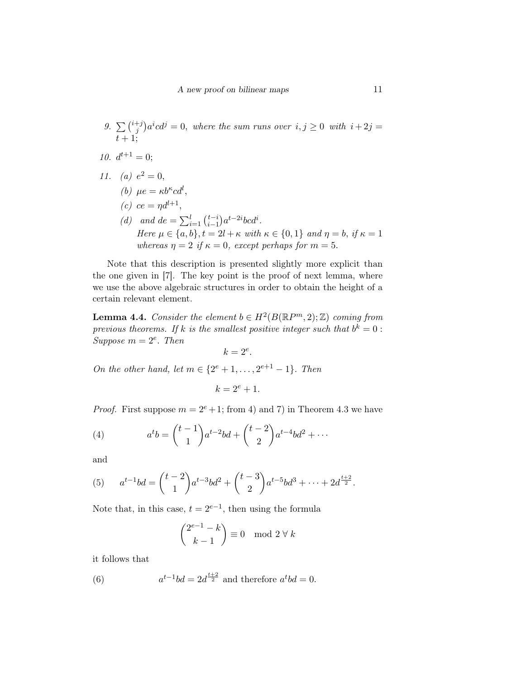- 9.  $\sum_{i=1}^{i+j}$  $j^{+j}$ ) $a^i c d^j = 0$ , where the sum runs over  $i, j \ge 0$  with  $i + 2j = j$  $t+1;$
- 10.  $d^{t+1} = 0;$
- 11. (a)  $e^2 = 0$ ,
	- (b)  $\mu e = \kappa b^{\kappa} c d^{l},$
	- (c)  $ce = \eta d^{l+1}$ ,
	- (d) and  $de = \sum_{i=1}^{l} {t-i \choose i-1}$  $_{i-1}^{t-i}$ ) $a^{t-2i}bcd^i$ . Here  $\mu \in \{a, b\}, t = 2l + \kappa$  with  $\kappa \in \{0, 1\}$  and  $\eta = b$ , if  $\kappa = 1$ whereas  $\eta = 2$  if  $\kappa = 0$ , except perhaps for  $m = 5$ .

Note that this description is presented slightly more explicit than the one given in [7]. The key point is the proof of next lemma, where we use the above algebraic structures in order to obtain the height of a certain relevant element.

**Lemma 4.4.** Consider the element  $b \in H^2(B(\mathbb{R}P^m, 2); \mathbb{Z})$  coming from previous theorems. If k is the smallest positive integer such that  $b^k = 0$ : Suppose  $m = 2^e$ . Then

$$
k=2^e.
$$

On the other hand, let  $m \in \{2^e + 1, ..., 2^{e+1} - 1\}$ . Then

$$
k = 2^e + 1.
$$

*Proof.* First suppose  $m = 2^e + 1$ ; from 4) and 7) in Theorem 4.3 we have

(4) 
$$
a^t b = \binom{t-1}{1} a^{t-2} b d + \binom{t-2}{2} a^{t-4} b d^2 + \cdots
$$

and

(5) 
$$
a^{t-1}bd = {t-2 \choose 1}a^{t-3}bd^2 + {t-3 \choose 2}a^{t-5}bd^3 + \cdots + 2d^{\frac{t+2}{2}}.
$$

Note that, in this case,  $t = 2^{e-1}$ , then using the formula

$$
\binom{2^{e-1} - k}{k - 1} \equiv 0 \mod 2 \ \forall \ k
$$

it follows that

(6) 
$$
a^{t-1}bd = 2d^{\frac{t+2}{2}} \text{ and therefore } a^tbd = 0.
$$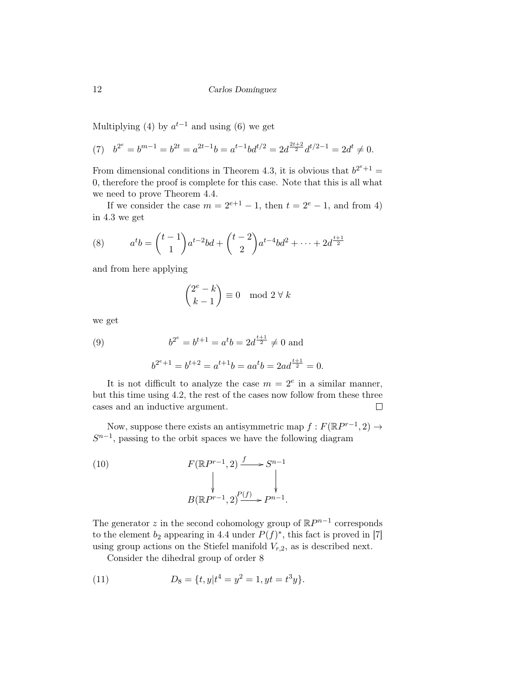Multiplying (4) by  $a^{t-1}$  and using (6) we get

(7) 
$$
b^{2^e} = b^{m-1} = b^{2t} = a^{2t-1}b = a^{t-1}bd^{t/2} = 2d^{\frac{2t+2}{2}}d^{t/2-1} = 2d^t \neq 0.
$$

From dimensional conditions in Theorem 4.3, it is obvious that  $b^{2^e+1} =$ 0, therefore the proof is complete for this case. Note that this is all what we need to prove Theorem 4.4.

If we consider the case  $m = 2^{e+1} - 1$ , then  $t = 2^e - 1$ , and from 4) in 4.3 we get

(8) 
$$
a^{t}b = \binom{t-1}{1}a^{t-2}bd + \binom{t-2}{2}a^{t-4}bd^{2} + \dots + 2d^{\frac{t+1}{2}}
$$

and from here applying

$$
\binom{2^e - k}{k - 1} \equiv 0 \mod 2 \ \forall \ k
$$

we get

(9) 
$$
b^{2^e} = b^{t+1} = a^t b = 2d^{\frac{t+1}{2}} \neq 0 \text{ and}
$$

$$
b^{2^e+1} = b^{t+2} = a^{t+1}b = aa^t b = 2ad^{\frac{t+1}{2}} = 0.
$$

It is not difficult to analyze the case  $m = 2^e$  in a similar manner, but this time using 4.2, the rest of the cases now follow from these three cases and an inductive argument.  $\Box$ 

Now, suppose there exists an antisymmetric map  $f : F(\mathbb{R}P^{r-1}, 2) \to$  $S^{n-1}$ , passing to the orbit spaces we have the following diagram

(10) 
$$
F(\mathbb{R}P^{r-1},2) \xrightarrow{f} S^{n-1}
$$

$$
\downarrow \qquad \qquad \downarrow
$$

$$
B(\mathbb{R}P^{r-1},2)\xrightarrow{P(f)} P^{n-1}.
$$

The generator z in the second cohomology group of  $\mathbb{R}P^{n-1}$  corresponds to the element  $b_2$  appearing in 4.4 under  $P(f)^*$ , this fact is proved in [7] using group actions on the Stiefel manifold  $V_{r,2}$ , as is described next.

Consider the dihedral group of order 8

(11) 
$$
D_8 = \{t, y | t^4 = y^2 = 1, yt = t^3y\}.
$$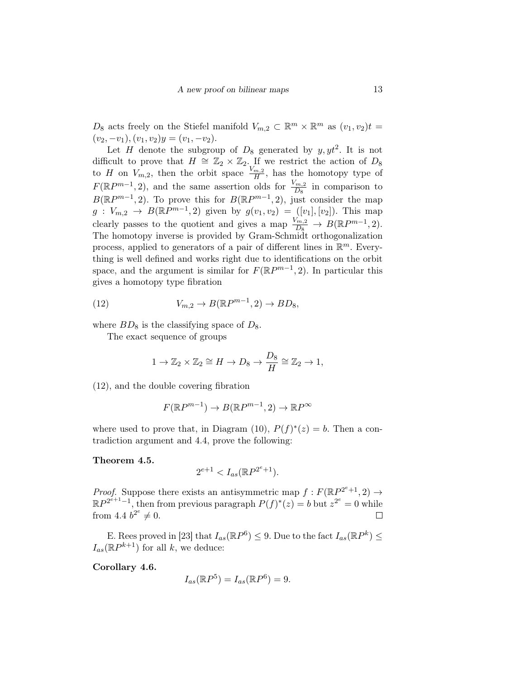$D_8$  acts freely on the Stiefel manifold  $V_{m,2} \subset \mathbb{R}^m \times \mathbb{R}^m$  as  $(v_1, v_2)t =$  $(v_2, -v_1), (v_1, v_2)y = (v_1, -v_2).$ 

Let H denote the subgroup of  $D_8$  generated by  $y, y t^2$ . It is not difficult to prove that  $H \cong \mathbb{Z}_2 \times \mathbb{Z}_2$ . If we restrict the action of  $D_8$ to H on  $V_{m,2}$ , then the orbit space  $\frac{V_{m,2}}{H}$ , has the homotopy type of  $F(\mathbb{R}P^{m-1}, 2)$ , and the same assertion olds for  $\frac{V_{m,2}}{D_8}$  in comparison to  $B(\mathbb{R}P^{m-1},2)$ . To prove this for  $B(\mathbb{R}P^{m-1},2)$ , just consider the map  $g: V_{m,2} \to B(\mathbb{R}P^{m-1}, 2)$  given by  $g(v_1, v_2) = ([v_1], [v_2])$ . This map clearly passes to the quotient and gives a map  $\frac{V_{m,2}}{D_8} \to B(\mathbb{R}P^{m-1}, 2)$ . The homotopy inverse is provided by Gram-Schmidt orthogonalization process, applied to generators of a pair of different lines in  $\mathbb{R}^m$ . Everything is well defined and works right due to identifications on the orbit space, and the argument is similar for  $F(\mathbb{R}P^{m-1}, 2)$ . In particular this gives a homotopy type fibration

(12) 
$$
V_{m,2} \to B(\mathbb{R}P^{m-1},2) \to BD_8,
$$

where  $BD_8$  is the classifying space of  $D_8$ .

The exact sequence of groups

$$
1 \to \mathbb{Z}_2 \times \mathbb{Z}_2 \cong H \to D_8 \to \frac{D_8}{H} \cong \mathbb{Z}_2 \to 1,
$$

(12), and the double covering fibration

$$
F(\mathbb{R}P^{m-1}) \to B(\mathbb{R}P^{m-1}, 2) \to \mathbb{R}P^{\infty}
$$

where used to prove that, in Diagram (10),  $P(f)^*(z) = b$ . Then a contradiction argument and 4.4, prove the following:

Theorem 4.5.

$$
2^{e+1} < I_{as}(\mathbb{R}P^{2^e+1}).
$$

*Proof.* Suppose there exists an antisymmetric map  $f : F(\mathbb{R}P^{2^e+1}, 2) \rightarrow$  $\mathbb{R}P^{2^{e+1}-1}$ , then from previous paragraph  $P(f)^*(z) = b$  but  $z^{2^e} = 0$  while from 4.4  $b^{2^e} \neq 0$ .

E. Rees proved in [23] that  $I_{as}(\mathbb{R}P^6) \leq 9$ . Due to the fact  $I_{as}(\mathbb{R}P^k) \leq 9$  $I_{as}(\mathbb{R}P^{k+1})$  for all k, we deduce:

Corollary 4.6.

$$
I_{as}(\mathbb{R}P^5) = I_{as}(\mathbb{R}P^6) = 9.
$$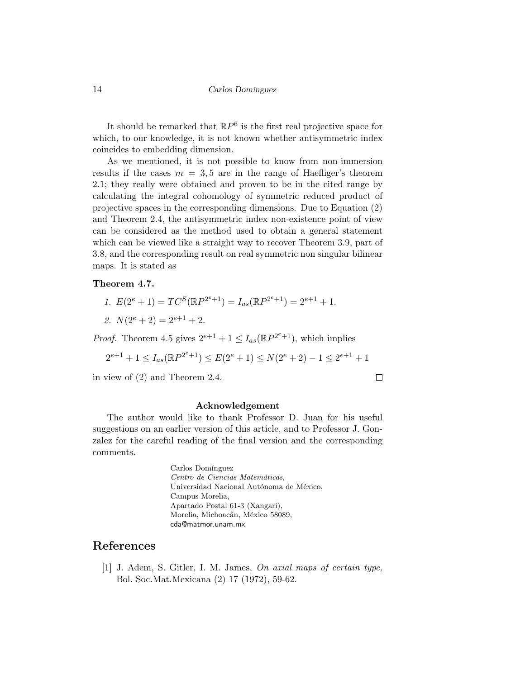It should be remarked that  $\mathbb{R}P^6$  is the first real projective space for which, to our knowledge, it is not known whether antisymmetric index coincides to embedding dimension.

As we mentioned, it is not possible to know from non-immersion results if the cases  $m = 3, 5$  are in the range of Haefliger's theorem 2.1; they really were obtained and proven to be in the cited range by calculating the integral cohomology of symmetric reduced product of projective spaces in the corresponding dimensions. Due to Equation (2) and Theorem 2.4, the antisymmetric index non-existence point of view can be considered as the method used to obtain a general statement which can be viewed like a straight way to recover Theorem 3.9, part of 3.8, and the corresponding result on real symmetric non singular bilinear maps. It is stated as

#### Theorem 4.7.

- 1.  $E(2^e + 1) = TC^S(\mathbb{R}P^{2^e+1}) = I_{as}(\mathbb{R}P^{2^e+1}) = 2^{e+1} + 1.$
- 2.  $N(2^e + 2) = 2^{e+1} + 2$ .

*Proof.* Theorem 4.5 gives  $2^{e+1} + 1 \leq I_{as}(\mathbb{R}P^{2^e+1})$ , which implies

$$
2^{e+1} + 1 \le I_{as}(\mathbb{R}P^{2^e+1}) \le E(2^e+1) \le N(2^e+2) - 1 \le 2^{e+1} + 1
$$

in view of (2) and Theorem 2.4.

 $\Box$ 

#### Acknowledgement

The author would like to thank Professor D. Juan for his useful suggestions on an earlier version of this article, and to Professor J. Gonzalez for the careful reading of the final version and the corresponding comments.

> Carlos Domínguez Centro de Ciencias Matemáticas, Universidad Nacional Autónoma de México, Campus Morelia, Apartado Postal 61-3 (Xangari), Morelia, Michoacán, México 58089, cda@matmor.unam.mx

### References

[1] J. Adem, S. Gitler, I. M. James, On axial maps of certain type, Bol. Soc.Mat.Mexicana (2) 17 (1972), 59-62.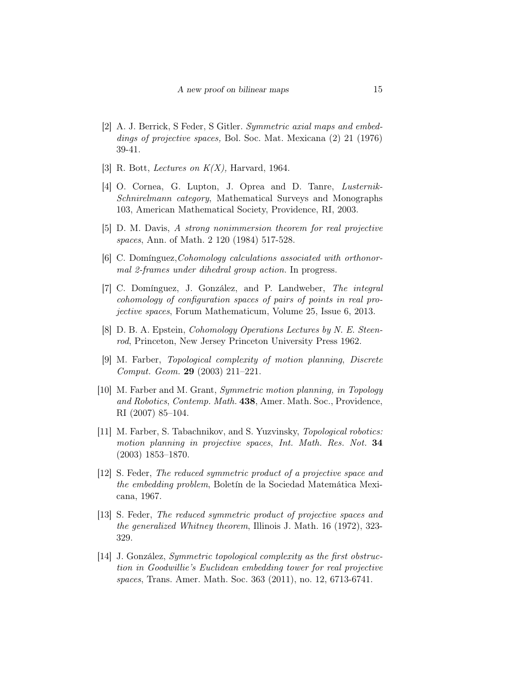- [2] A. J. Berrick, S Feder, S Gitler. Symmetric axial maps and embeddings of projective spaces, Bol. Soc. Mat. Mexicana (2) 21 (1976) 39-41.
- [3] R. Bott, *Lectures on K(X)*, Harvard, 1964.
- [4] O. Cornea, G. Lupton, J. Oprea and D. Tanre, Lusternik-Schnirelmann category, Mathematical Surveys and Monographs 103, American Mathematical Society, Providence, RI, 2003.
- [5] D. M. Davis, A strong nonimmersion theorem for real projective spaces, Ann. of Math. 2 120 (1984) 517-528.
- [6] C. Domínguez, *Cohomology calculations associated with orthonor*mal 2-frames under dihedral group action. In progress.
- [7] C. Domínguez, J. González, and P. Landweber, The integral cohomology of configuration spaces of pairs of points in real projective spaces, Forum Mathematicum, Volume 25, Issue 6, 2013.
- [8] D. B. A. Epstein, *Cohomology Operations Lectures by N. E. Steen*rod, Princeton, New Jersey Princeton University Press 1962.
- [9] M. Farber, Topological complexity of motion planning, Discrete Comput. Geom. 29 (2003) 211–221.
- [10] M. Farber and M. Grant, *Symmetric motion planning*, *in Topology* and Robotics, Contemp. Math. 438, Amer. Math. Soc., Providence, RI (2007) 85–104.
- [11] M. Farber, S. Tabachnikov, and S. Yuzvinsky, Topological robotics: motion planning in projective spaces, Int. Math. Res. Not. 34 (2003) 1853–1870.
- [12] S. Feder, The reduced symmetric product of a projective space and the embedding problem, Boletín de la Sociedad Matemática Mexicana, 1967.
- [13] S. Feder, The reduced symmetric product of projective spaces and the generalized Whitney theorem, Illinois J. Math. 16 (1972), 323- 329.
- [14] J. González, Symmetric topological complexity as the first obstruction in Goodwillie's Euclidean embedding tower for real projective spaces, Trans. Amer. Math. Soc. 363 (2011), no. 12, 6713-6741.